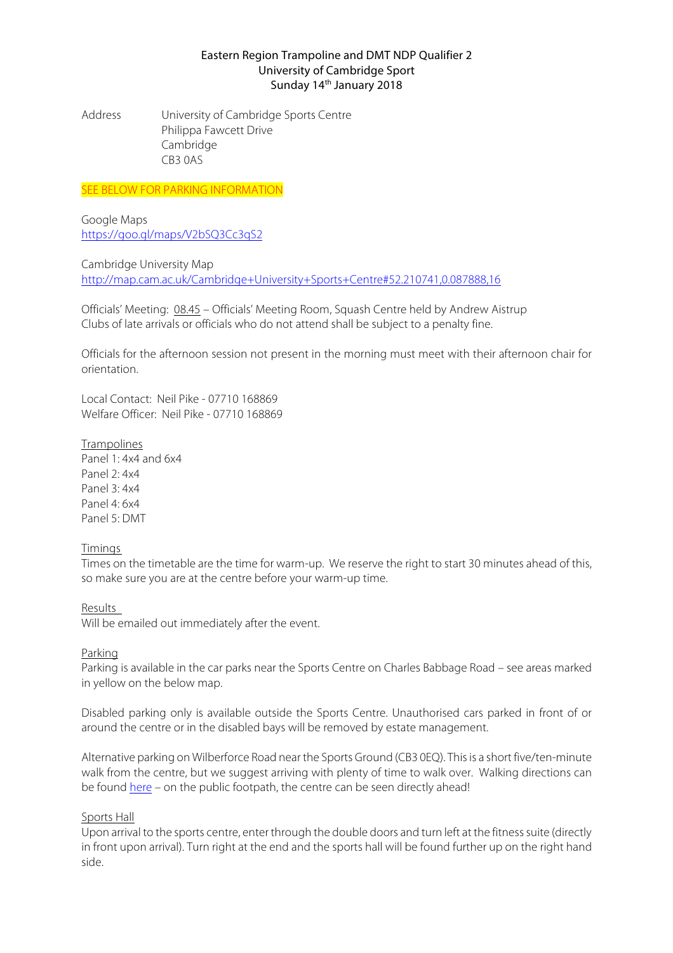### Eastern Region Trampoline and DMT NDP Qualifier 2 University of Cambridge Sport Sunday 14<sup>th</sup> January 2018

Address University of Cambridge Sports Centre Philippa Fawcett Drive **Cambridge** CB3 0AS

**SEE BELOW FOR PARKING INFORMATION** 

Google Maps https://goo.gl/maps/V2bSQ3Cc3qS2

Cambridge University Map http://map.cam.ac.uk/Cambridge+University+Sports+Centre#52.210741,0.087888,16

Officials' Meeting: 08.45 – Officials' Meeting Room, Squash Centre held by Andrew Aistrup Clubs of late arrivals or officials who do not attend shall be subject to a penalty fine.

Officials for the afternoon session not present in the morning must meet with their afternoon chair for orientation.

Local Contact: Neil Pike - 07710 168869 Welfare Officer: Neil Pike - 07710 168869

**Trampolines** Panel 1: 4x4 and 6x4 Panel 2: 4x4 Panel 3: 4x4 Panel 4: 6x4

# Timings

Panel 5: DMT

Times on the timetable are the time for warm-up. We reserve the right to start 30 minutes ahead of this, so make sure you are at the centre before your warm-up time.

Results

Will be emailed out immediately after the event.

# Parking

Parking is available in the car parks near the Sports Centre on Charles Babbage Road – see areas marked in yellow on the below map.

Disabled parking only is available outside the Sports Centre. Unauthorised cars parked in front of or around the centre or in the disabled bays will be removed by estate management.

Alternative parking on Wilberforce Road near the Sports Ground (CB3 0EQ). This is a short five/ten-minute walk from the centre, but we suggest arriving with plenty of time to walk over. Walking directions can be found here – on the public footpath, the centre can be seen directly ahead!

#### Sports Hall

Upon arrival to the sports centre, enter through the double doors and turn left at the fitness suite (directly in front upon arrival). Turn right at the end and the sports hall will be found further up on the right hand side.